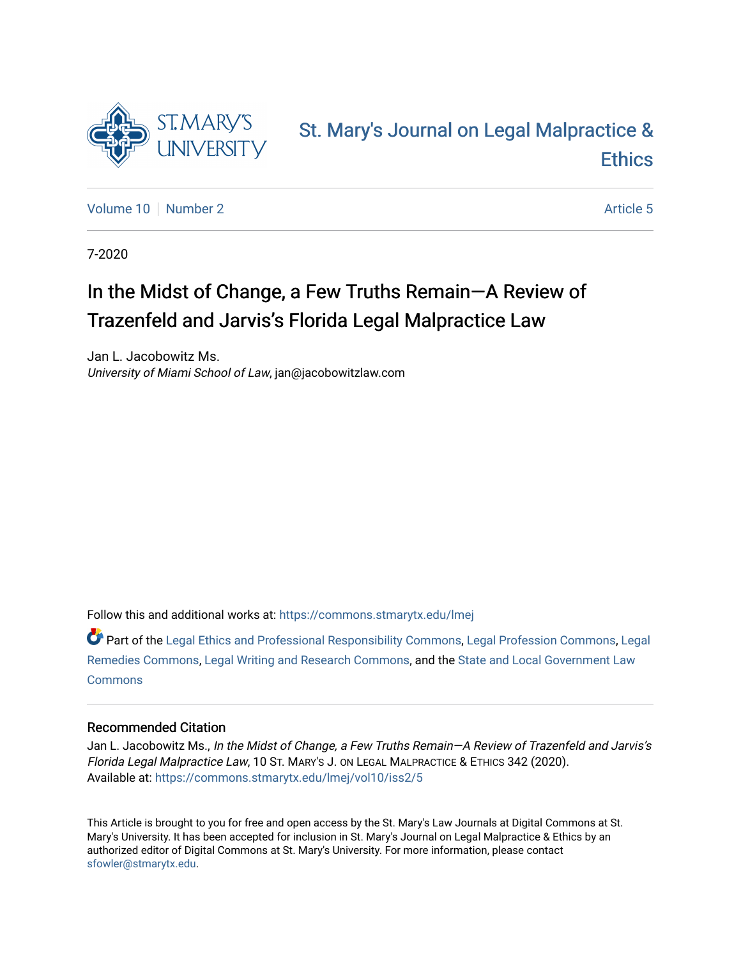

## [St. Mary's Journal on Legal Malpractice &](https://commons.stmarytx.edu/lmej)  **Ethics**

[Volume 10](https://commons.stmarytx.edu/lmej/vol10) [Number 2](https://commons.stmarytx.edu/lmej/vol10/iss2) Article 5

7-2020

# In the Midst of Change, a Few Truths Remain—A Review of Trazenfeld and Jarvis's Florida Legal Malpractice Law

Jan L. Jacobowitz Ms. University of Miami School of Law, jan@jacobowitzlaw.com

Follow this and additional works at: [https://commons.stmarytx.edu/lmej](https://commons.stmarytx.edu/lmej?utm_source=commons.stmarytx.edu%2Flmej%2Fvol10%2Fiss2%2F5&utm_medium=PDF&utm_campaign=PDFCoverPages) 

Part of the [Legal Ethics and Professional Responsibility Commons](https://network.bepress.com/hgg/discipline/895?utm_source=commons.stmarytx.edu%2Flmej%2Fvol10%2Fiss2%2F5&utm_medium=PDF&utm_campaign=PDFCoverPages), [Legal Profession Commons](https://network.bepress.com/hgg/discipline/1075?utm_source=commons.stmarytx.edu%2Flmej%2Fvol10%2Fiss2%2F5&utm_medium=PDF&utm_campaign=PDFCoverPages), [Legal](https://network.bepress.com/hgg/discipline/618?utm_source=commons.stmarytx.edu%2Flmej%2Fvol10%2Fiss2%2F5&utm_medium=PDF&utm_campaign=PDFCoverPages)  [Remedies Commons,](https://network.bepress.com/hgg/discipline/618?utm_source=commons.stmarytx.edu%2Flmej%2Fvol10%2Fiss2%2F5&utm_medium=PDF&utm_campaign=PDFCoverPages) [Legal Writing and Research Commons,](https://network.bepress.com/hgg/discipline/614?utm_source=commons.stmarytx.edu%2Flmej%2Fvol10%2Fiss2%2F5&utm_medium=PDF&utm_campaign=PDFCoverPages) and the [State and Local Government Law](https://network.bepress.com/hgg/discipline/879?utm_source=commons.stmarytx.edu%2Flmej%2Fvol10%2Fiss2%2F5&utm_medium=PDF&utm_campaign=PDFCoverPages) **[Commons](https://network.bepress.com/hgg/discipline/879?utm_source=commons.stmarytx.edu%2Flmej%2Fvol10%2Fiss2%2F5&utm_medium=PDF&utm_campaign=PDFCoverPages)** 

### Recommended Citation

Jan L. Jacobowitz Ms., In the Midst of Change, a Few Truths Remain—A Review of Trazenfeld and Jarvis's Florida Legal Malpractice Law, 10 ST. MARY'S J. ON LEGAL MALPRACTICE & ETHICS 342 (2020). Available at: [https://commons.stmarytx.edu/lmej/vol10/iss2/5](https://commons.stmarytx.edu/lmej/vol10/iss2/5?utm_source=commons.stmarytx.edu%2Flmej%2Fvol10%2Fiss2%2F5&utm_medium=PDF&utm_campaign=PDFCoverPages) 

This Article is brought to you for free and open access by the St. Mary's Law Journals at Digital Commons at St. Mary's University. It has been accepted for inclusion in St. Mary's Journal on Legal Malpractice & Ethics by an authorized editor of Digital Commons at St. Mary's University. For more information, please contact [sfowler@stmarytx.edu](mailto:sfowler@stmarytx.edu).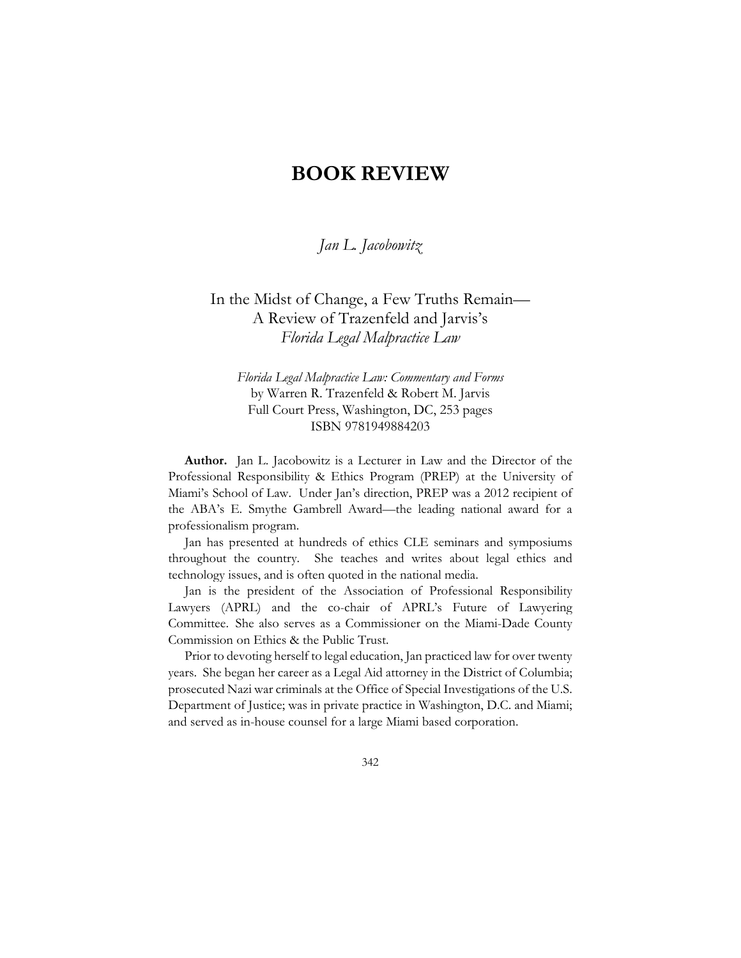## **BOOK REVIEW**

*Jan L. Jacobowitz*

In the Midst of Change, a Few Truths Remain— A Review of Trazenfeld and Jarvis's *Florida Legal Malpractice Law*

*Florida Legal Malpractice Law: Commentary and Forms* by Warren R. Trazenfeld & Robert M. Jarvis Full Court Press, Washington, DC, 253 pages ISBN 9781949884203

**Author.** Jan L. Jacobowitz is a Lecturer in Law and the Director of the Professional Responsibility & Ethics Program (PREP) at the University of Miami's School of Law. Under Jan's direction, PREP was a 2012 recipient of the ABA's E. Smythe Gambrell Award—the leading national award for a professionalism program.

Jan has presented at hundreds of ethics CLE seminars and symposiums throughout the country. She teaches and writes about legal ethics and technology issues, and is often quoted in the national media.

Jan is the president of the Association of Professional Responsibility Lawyers (APRL) and the co-chair of APRL's Future of Lawyering Committee. She also serves as a Commissioner on the Miami-Dade County Commission on Ethics & the Public Trust.

Prior to devoting herself to legal education, Jan practiced law for over twenty years. She began her career as a Legal Aid attorney in the District of Columbia; prosecuted Nazi war criminals at the Office of Special Investigations of the U.S. Department of Justice; was in private practice in Washington, D.C. and Miami; and served as in-house counsel for a large Miami based corporation.

342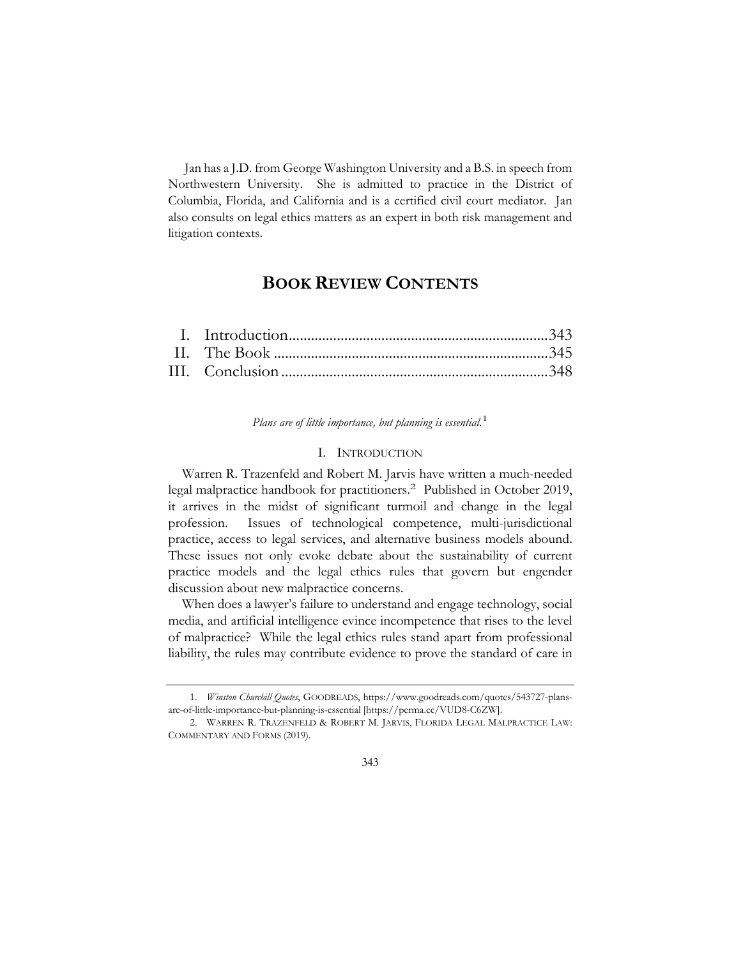Jan has a J.D. from George Washington University and a B.S. in speech from Northwestern University. She is admitted to practice in the District of Columbia, Florida, and California and is a certified civil court mediator. Jan also consults on legal ethics matters as an expert in both risk management and litigation contexts.

### **BOOK REVIEW CONTENTS**

*Plans are of little importance, but planning is essential.*1

### I. INTRODUCTION

Warren R. Trazenfeld and Robert M. Jarvis have written a much-needed legal malpractice handbook for practitioners.<sup>2</sup> Published in October 2019, it arrives in the midst of significant turmoil and change in the legal profession. Issues of technological competence, multi-jurisdictional practice, access to legal services, and alternative business models abound. These issues not only evoke debate about the sustainability of current practice models and the legal ethics rules that govern but engender discussion about new malpractice concerns.

When does a lawyer's failure to understand and engage technology, social media, and artificial intelligence evince incompetence that rises to the level of malpractice? While the legal ethics rules stand apart from professional liability, the rules may contribute evidence to prove the standard of care in

343

<sup>1.</sup> *Winston Churchill Quotes*, GOODREADS, https://www.goodreads.com/quotes/543727-plansare-of-little-importance-but-planning-is-essential [https://perma.cc/VUD8-C6ZW].

<sup>2.</sup> WARREN R. TRAZENFELD & ROBERT M. JARVIS, FLORIDA LEGAL MALPRACTICE LAW: COMMENTARY AND FORMS (2019).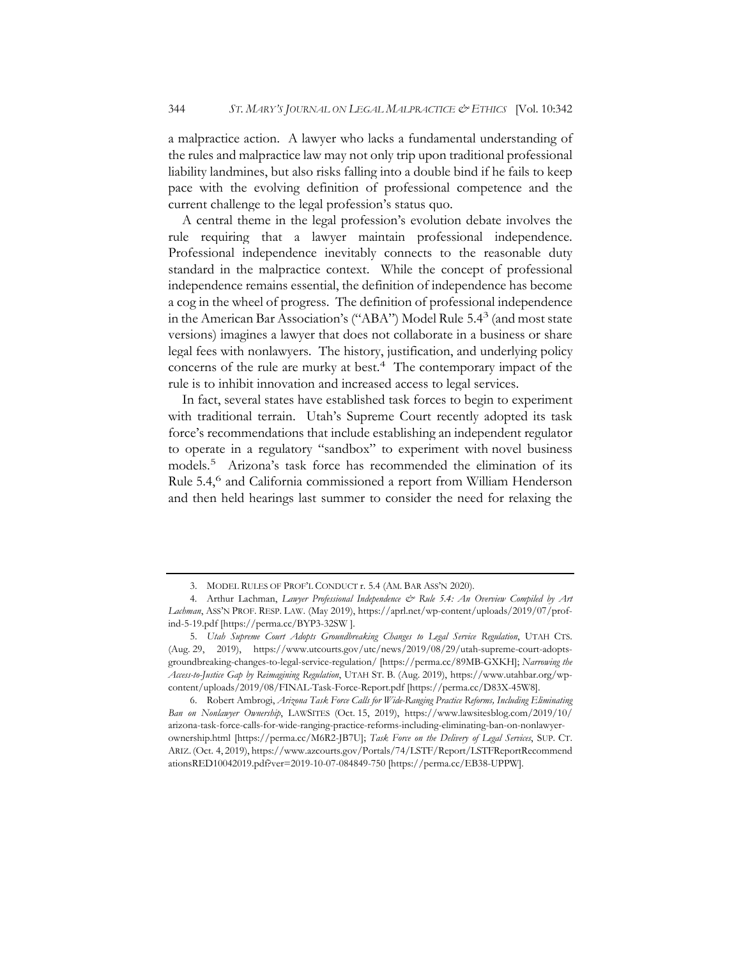a malpractice action. A lawyer who lacks a fundamental understanding of the rules and malpractice law may not only trip upon traditional professional liability landmines, but also risks falling into a double bind if he fails to keep pace with the evolving definition of professional competence and the current challenge to the legal profession's status quo.

A central theme in the legal profession's evolution debate involves the rule requiring that a lawyer maintain professional independence. Professional independence inevitably connects to the reasonable duty standard in the malpractice context. While the concept of professional independence remains essential, the definition of independence has become a cog in the wheel of progress. The definition of professional independence in the American Bar Association's ("ABA") Model Rule 5.43 (and most state versions) imagines a lawyer that does not collaborate in a business or share legal fees with nonlawyers. The history, justification, and underlying policy concerns of the rule are murky at best.<sup>4</sup> The contemporary impact of the rule is to inhibit innovation and increased access to legal services.

In fact, several states have established task forces to begin to experiment with traditional terrain. Utah's Supreme Court recently adopted its task force's recommendations that include establishing an independent regulator to operate in a regulatory "sandbox" to experiment with novel business models.5 Arizona's task force has recommended the elimination of its Rule 5.4,<sup>6</sup> and California commissioned a report from William Henderson and then held hearings last summer to consider the need for relaxing the

<sup>3.</sup> MODEL RULES OF PROF'L CONDUCT r. 5.4 (AM. BAR ASS'N 2020).

<sup>4.</sup> Arthur Lachman, *Lawyer Professional Independence & Rule 5.4: An Overview Compiled by Art Lachman*, ASS'N PROF. RESP. LAW. (May 2019), https://aprl.net/wp-content/uploads/2019/07/profind-5-19.pdf [https://perma.cc/BYP3-32SW ].

<sup>5.</sup> *Utah Supreme Court Adopts Groundbreaking Changes to Legal Service Regulation*, UTAH CTS. (Aug. 29, 2019), https://www.utcourts.gov/utc/news/2019/08/29/utah-supreme-court-adoptsgroundbreaking-changes-to-legal-service-regulation/ [https://perma.cc/89MB-GXKH]; *Narrowing the Access-to-Justice Gap by Reimagining Regulation*, UTAH ST. B. (Aug. 2019), https://www.utahbar.org/wpcontent/uploads/2019/08/FINAL-Task-Force-Report.pdf [https://perma.cc/D83X-45W8].

<sup>6.</sup> Robert Ambrogi, *Arizona Task Force Calls for Wide-Ranging Practice Reforms, Including Eliminating Ban on Nonlawyer Ownership*, LAWSITES (Oct. 15, 2019), https://www.lawsitesblog.com/2019/10/ arizona-task-force-calls-for-wide-ranging-practice-reforms-including-eliminating-ban-on-nonlawyerownership.html [https://perma.cc/M6R2-JB7U]; *Task Force on the Delivery of Legal Services*, SUP. CT. ARIZ. (Oct. 4, 2019), https://www.azcourts.gov/Portals/74/LSTF/Report/LSTFReportRecommend ationsRED10042019.pdf?ver=2019-10-07-084849-750 [https://perma.cc/EB38-UPPW].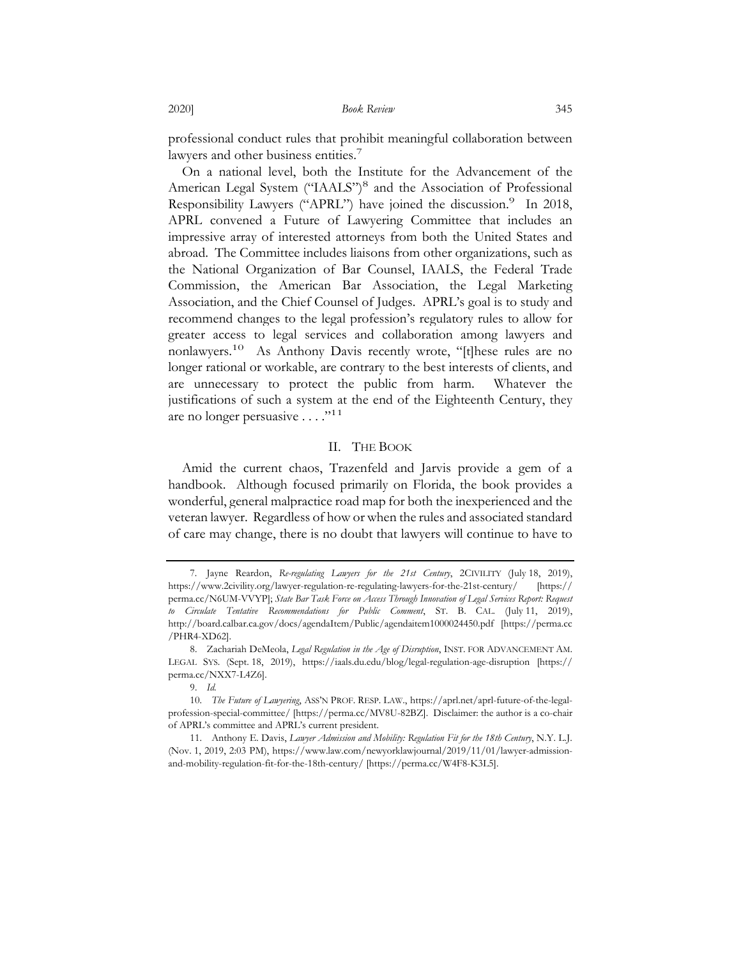professional conduct rules that prohibit meaningful collaboration between lawyers and other business entities.<sup>7</sup>

On a national level, both the Institute for the Advancement of the American Legal System ("IAALS")<sup>8</sup> and the Association of Professional Responsibility Lawyers ("APRL") have joined the discussion.<sup>9</sup> In 2018, APRL convened a Future of Lawyering Committee that includes an impressive array of interested attorneys from both the United States and abroad. The Committee includes liaisons from other organizations, such as the National Organization of Bar Counsel, IAALS, the Federal Trade Commission, the American Bar Association, the Legal Marketing Association, and the Chief Counsel of Judges. APRL's goal is to study and recommend changes to the legal profession's regulatory rules to allow for greater access to legal services and collaboration among lawyers and nonlawyers.10 As Anthony Davis recently wrote, "[t]hese rules are no longer rational or workable, are contrary to the best interests of clients, and are unnecessary to protect the public from harm. Whatever the justifications of such a system at the end of the Eighteenth Century, they are no longer persuasive . . . . "<sup>11</sup>

### II. THE BOOK

Amid the current chaos, Trazenfeld and Jarvis provide a gem of a handbook. Although focused primarily on Florida, the book provides a wonderful, general malpractice road map for both the inexperienced and the veteran lawyer. Regardless of how or when the rules and associated standard of care may change, there is no doubt that lawyers will continue to have to

<sup>7.</sup> Jayne Reardon, *Re-regulating Lawyers for the 21st Century*, 2CIVILITY (July 18, 2019), https://www.2civility.org/lawyer-regulation-re-regulating-lawyers-for-the-21st-century/ [https:// perma.cc/N6UM-VVYP]; *State Bar Task Force on Access Through Innovation of Legal Services Report: Request to Circulate Tentative Recommendations for Public Comment*, ST. B. CAL. (July 11, 2019), http://board.calbar.ca.gov/docs/agendaItem/Public/agendaitem1000024450.pdf [https://perma.cc /PHR4-XD62].

<sup>8.</sup> Zachariah DeMeola, *Legal Regulation in the Age of Disruption*, INST. FOR ADVANCEMENT AM. LEGAL SYS. (Sept. 18, 2019), https://iaals.du.edu/blog/legal-regulation-age-disruption [https:// perma.cc/NXX7-L4Z6].

<sup>9.</sup> *Id.*

<sup>10.</sup> *The Future of Lawyering*, ASS'N PROF. RESP. LAW., https://aprl.net/aprl-future-of-the-legalprofession-special-committee/ [https://perma.cc/MV8U-82BZ]. Disclaimer: the author is a co-chair of APRL's committee and APRL's current president.

<sup>11.</sup> Anthony E. Davis, *Lawyer Admission and Mobility: Regulation Fit for the 18th Century*, N.Y. L.J. (Nov. 1, 2019, 2:03 PM), https://www.law.com/newyorklawjournal/2019/11/01/lawyer-admissionand-mobility-regulation-fit-for-the-18th-century/ [https://perma.cc/W4F8-K3L5].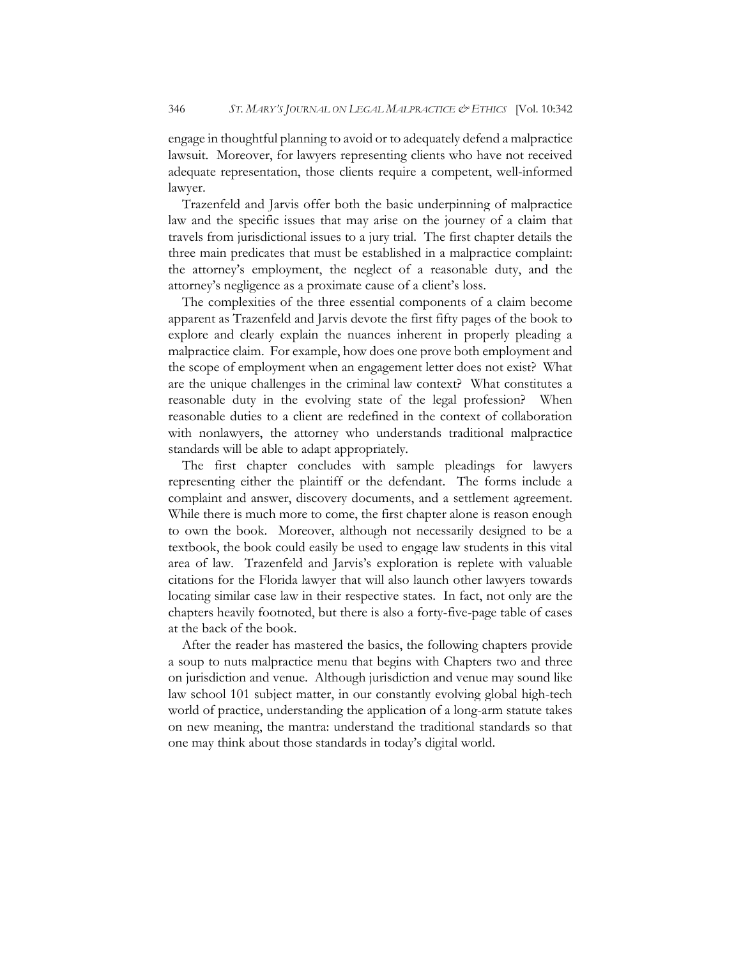engage in thoughtful planning to avoid or to adequately defend a malpractice lawsuit. Moreover, for lawyers representing clients who have not received adequate representation, those clients require a competent, well-informed lawyer.

Trazenfeld and Jarvis offer both the basic underpinning of malpractice law and the specific issues that may arise on the journey of a claim that travels from jurisdictional issues to a jury trial. The first chapter details the three main predicates that must be established in a malpractice complaint: the attorney's employment, the neglect of a reasonable duty, and the attorney's negligence as a proximate cause of a client's loss.

The complexities of the three essential components of a claim become apparent as Trazenfeld and Jarvis devote the first fifty pages of the book to explore and clearly explain the nuances inherent in properly pleading a malpractice claim. For example, how does one prove both employment and the scope of employment when an engagement letter does not exist? What are the unique challenges in the criminal law context? What constitutes a reasonable duty in the evolving state of the legal profession? When reasonable duties to a client are redefined in the context of collaboration with nonlawyers, the attorney who understands traditional malpractice standards will be able to adapt appropriately.

The first chapter concludes with sample pleadings for lawyers representing either the plaintiff or the defendant. The forms include a complaint and answer, discovery documents, and a settlement agreement. While there is much more to come, the first chapter alone is reason enough to own the book. Moreover, although not necessarily designed to be a textbook, the book could easily be used to engage law students in this vital area of law. Trazenfeld and Jarvis's exploration is replete with valuable citations for the Florida lawyer that will also launch other lawyers towards locating similar case law in their respective states. In fact, not only are the chapters heavily footnoted, but there is also a forty-five-page table of cases at the back of the book.

After the reader has mastered the basics, the following chapters provide a soup to nuts malpractice menu that begins with Chapters two and three on jurisdiction and venue. Although jurisdiction and venue may sound like law school 101 subject matter, in our constantly evolving global high-tech world of practice, understanding the application of a long-arm statute takes on new meaning, the mantra: understand the traditional standards so that one may think about those standards in today's digital world.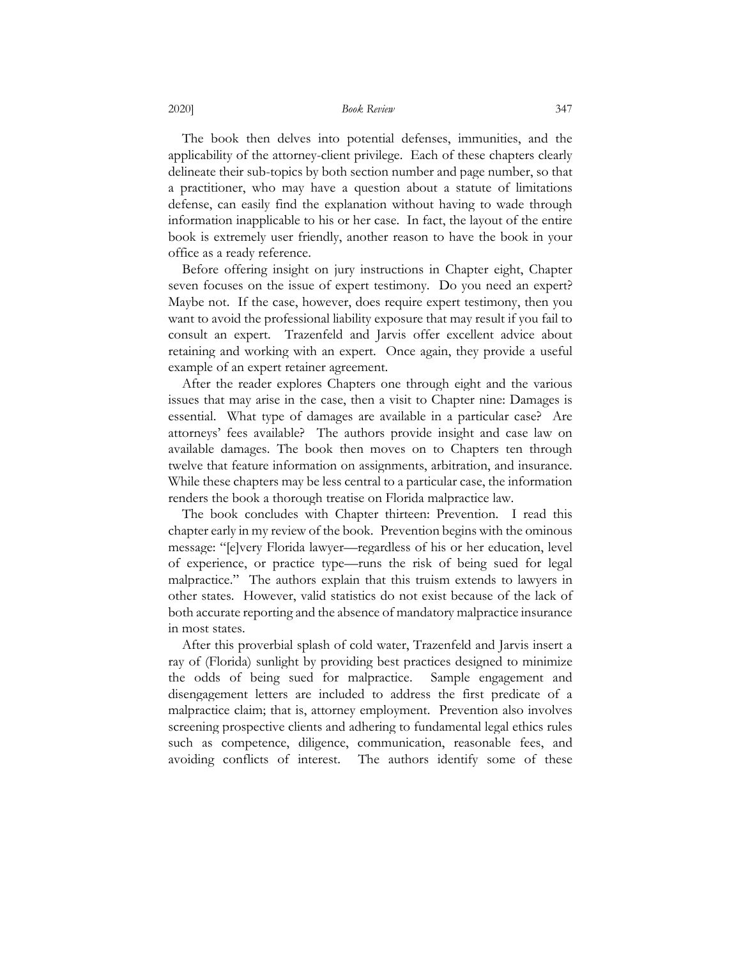#### 2020] *Book Review* 347

The book then delves into potential defenses, immunities, and the applicability of the attorney-client privilege. Each of these chapters clearly delineate their sub-topics by both section number and page number, so that a practitioner, who may have a question about a statute of limitations defense, can easily find the explanation without having to wade through information inapplicable to his or her case. In fact, the layout of the entire book is extremely user friendly, another reason to have the book in your office as a ready reference.

Before offering insight on jury instructions in Chapter eight, Chapter seven focuses on the issue of expert testimony. Do you need an expert? Maybe not. If the case, however, does require expert testimony, then you want to avoid the professional liability exposure that may result if you fail to consult an expert. Trazenfeld and Jarvis offer excellent advice about retaining and working with an expert. Once again, they provide a useful example of an expert retainer agreement.

After the reader explores Chapters one through eight and the various issues that may arise in the case, then a visit to Chapter nine: Damages is essential. What type of damages are available in a particular case? Are attorneys' fees available? The authors provide insight and case law on available damages. The book then moves on to Chapters ten through twelve that feature information on assignments, arbitration, and insurance. While these chapters may be less central to a particular case, the information renders the book a thorough treatise on Florida malpractice law.

The book concludes with Chapter thirteen: Prevention. I read this chapter early in my review of the book. Prevention begins with the ominous message: "[e]very Florida lawyer—regardless of his or her education, level of experience, or practice type—runs the risk of being sued for legal malpractice." The authors explain that this truism extends to lawyers in other states. However, valid statistics do not exist because of the lack of both accurate reporting and the absence of mandatory malpractice insurance in most states.

After this proverbial splash of cold water, Trazenfeld and Jarvis insert a ray of (Florida) sunlight by providing best practices designed to minimize the odds of being sued for malpractice. Sample engagement and disengagement letters are included to address the first predicate of a malpractice claim; that is, attorney employment. Prevention also involves screening prospective clients and adhering to fundamental legal ethics rules such as competence, diligence, communication, reasonable fees, and avoiding conflicts of interest. The authors identify some of these